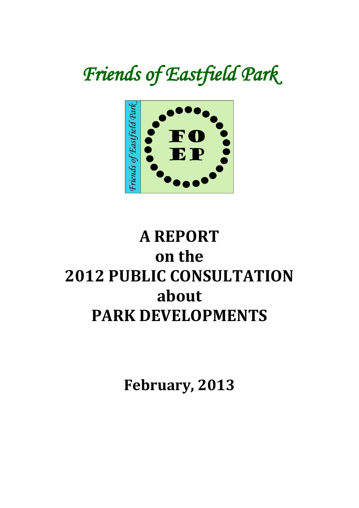# *Friends of Eastfield Park*



# **A REPORT on the 2012 PUBLIC CONSULTATION about PARK DEVELOPMENTS**

**February, 2013**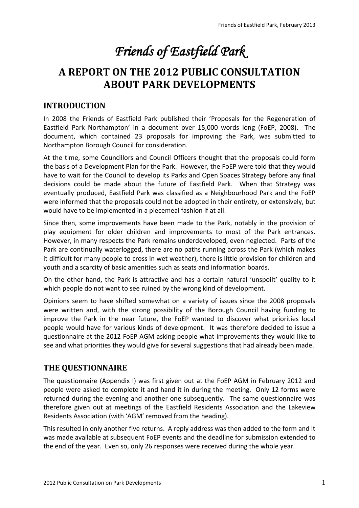# *Friends of Eastfield Park*

# **A REPORT ON THE 2012 PUBLIC CONSULTATION ABOUT PARK DEVELOPMENTS**

## **INTRODUCTION**

In 2008 the Friends of Eastfield Park published their 'Proposals for the Regeneration of Eastfield Park Northampton' in a document over 15,000 words long (FoEP, 2008). The document, which contained 23 proposals for improving the Park, was submitted to Northampton Borough Council for consideration.

At the time, some Councillors and Council Officers thought that the proposals could form the basis of a Development Plan for the Park. However, the FoEP were told that they would have to wait for the Council to develop its Parks and Open Spaces Strategy before any final decisions could be made about the future of Eastfield Park. When that Strategy was eventually produced, Eastfield Park was classified as a Neighbourhood Park and the FoEP were informed that the proposals could not be adopted in their entirety, or extensively, but would have to be implemented in a piecemeal fashion if at all.

Since then, some improvements have been made to the Park, notably in the provision of play equipment for older children and improvements to most of the Park entrances. However, in many respects the Park remains underdeveloped, even neglected. Parts of the Park are continually waterlogged, there are no paths running across the Park (which makes it difficult for many people to cross in wet weather), there is little provision for children and youth and a scarcity of basic amenities such as seats and information boards.

On the other hand, the Park is attractive and has a certain natural 'unspoilt' quality to it which people do not want to see ruined by the wrong kind of development.

Opinions seem to have shifted somewhat on a variety of issues since the 2008 proposals were written and, with the strong possibility of the Borough Council having funding to improve the Park in the near future, the FoEP wanted to discover what priorities local people would have for various kinds of development. It was therefore decided to issue a questionnaire at the 2012 FoEP AGM asking people what improvements they would like to see and what priorities they would give for several suggestions that had already been made.

#### **THE QUESTIONNAIRE**

The questionnaire (Appendix I) was first given out at the FoEP AGM in February 2012 and people were asked to complete it and hand it in during the meeting. Only 12 forms were returned during the evening and another one subsequently. The same questionnaire was therefore given out at meetings of the Eastfield Residents Association and the Lakeview Residents Association (with 'AGM' removed from the heading).

This resulted in only another five returns. A reply address was then added to the form and it was made available at subsequent FoEP events and the deadline for submission extended to the end of the year. Even so, only 26 responses were received during the whole year.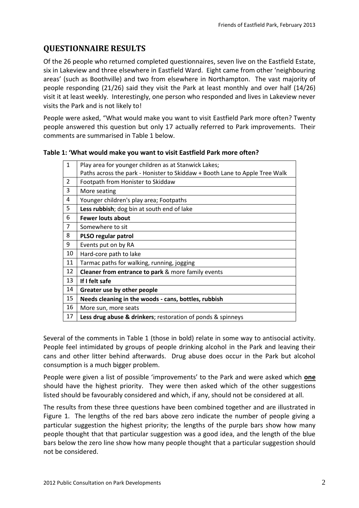# **QUESTIONNAIRE RESULTS**

Of the 26 people who returned completed questionnaires, seven live on the Eastfield Estate, six in Lakeview and three elsewhere in Eastfield Ward. Eight came from other 'neighbouring areas' (such as Boothville) and two from elsewhere in Northampton. The vast majority of people responding (21/26) said they visit the Park at least monthly and over half (14/26) visit it at least weekly. Interestingly, one person who responded and lives in Lakeview never visits the Park and is not likely to!

People were asked, "What would make you want to visit Eastfield Park more often? Twenty people answered this question but only 17 actually referred to Park improvements. Their comments are summarised in Table 1 below.

| $\mathbf{1}$   | Play area for younger children as at Stanwick Lakes;                        |
|----------------|-----------------------------------------------------------------------------|
|                | Paths across the park - Honister to Skiddaw + Booth Lane to Apple Tree Walk |
| $\overline{2}$ | Footpath from Honister to Skiddaw                                           |
| 3              | More seating                                                                |
| 4              | Younger children's play area; Footpaths                                     |
| 5              | Less rubbish; dog bin at south end of lake                                  |
| 6              | <b>Fewer louts about</b>                                                    |
| 7              | Somewhere to sit                                                            |
| 8              | PLSO regular patrol                                                         |
| 9              | Events put on by RA                                                         |
| 10             | Hard-core path to lake                                                      |
| 11             | Tarmac paths for walking, running, jogging                                  |
| 12             | Cleaner from entrance to park & more family events                          |
| 13             | If I felt safe                                                              |
| 14             | Greater use by other people                                                 |
| 15             | Needs cleaning in the woods - cans, bottles, rubbish                        |
| 16             | More sun, more seats                                                        |
| 17             | Less drug abuse & drinkers; restoration of ponds & spinneys                 |
|                |                                                                             |

| Table 1: 'What would make you want to visit Eastfield Park more often? |
|------------------------------------------------------------------------|
|------------------------------------------------------------------------|

Several of the comments in Table 1 (those in bold) relate in some way to antisocial activity. People feel intimidated by groups of people drinking alcohol in the Park and leaving their cans and other litter behind afterwards. Drug abuse does occur in the Park but alcohol consumption is a much bigger problem.

People were given a list of possible 'improvements' to the Park and were asked which **one**  should have the highest priority. They were then asked which of the other suggestions listed should be favourably considered and which, if any, should not be considered at all.

The results from these three questions have been combined together and are illustrated in Figure 1. The lengths of the red bars above zero indicate the number of people giving a particular suggestion the highest priority; the lengths of the purple bars show how many people thought that that particular suggestion was a good idea, and the length of the blue bars below the zero line show how many people thought that a particular suggestion should not be considered.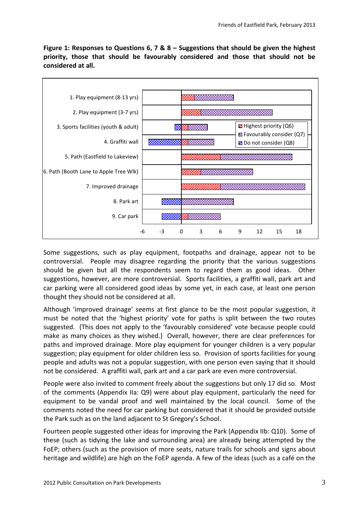**Figure 1: Responses to Questions 6, 7 & 8 – Suggestions that should be given the highest priority, those that should be favourably considered and those that should not be considered at all.**



Some suggestions, such as play equipment, footpaths and drainage, appear not to be controversial. People may disagree regarding the priority that the various suggestions should be given but all the respondents seem to regard them as good ideas. Other suggestions, however, are more controversial. Sports facilities, a graffiti wall, park art and car parking were all considered good ideas by some yet, in each case, at least one person thought they should not be considered at all.

Although 'improved drainage' seems at first glance to be the most popular suggestion, it must be noted that the 'highest priority' vote for paths is split between the two routes suggested. (This does not apply to the 'favourably considered' vote because people could make as many choices as they wished.) Overall, however, there are clear preferences for paths and improved drainage. More play equipment for younger children is a very popular suggestion; play equipment for older children less so. Provision of sports facilities for young people and adults was not a popular suggestion, with one person even saying that it should not be considered. A graffiti wall, park art and a car park are even more controversial.

People were also invited to comment freely about the suggestions but only 17 did so. Most of the comments (Appendix IIa: Q9) were about play equipment, particularly the need for equipment to be vandal proof and well maintained by the local council. Some of the comments noted the need for car parking but considered that it should be provided outside the Park such as on the land adjacent to St Gregory's School.

Fourteen people suggested other ideas for improving the Park (Appendix IIb: Q10). Some of these (such as tidying the lake and surrounding area) are already being attempted by the FoEP; others (such as the provision of more seats, nature trails for schools and signs about heritage and wildlife) are high on the FoEP agenda. A few of the ideas (such as a café on the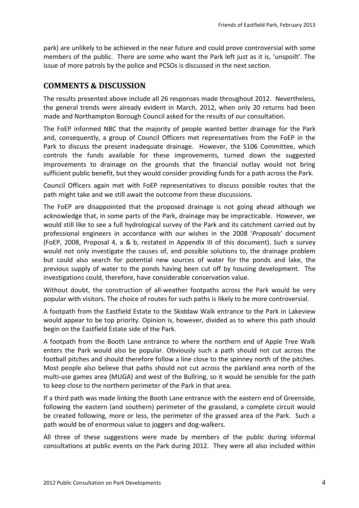park) are unlikely to be achieved in the near future and could prove controversial with some members of the public. There are some who want the Park left just as it is, 'unspoilt'. The issue of more patrols by the police and PCSOs is discussed in the next section.

#### **COMMENTS & DISCUSSION**

The results presented above include all 26 responses made throughout 2012. Nevertheless, the general trends were already evident in March, 2012, when only 20 returns had been made and Northampton Borough Council asked for the results of our consultation.

The FoEP informed NBC that the majority of people wanted better drainage for the Park and, consequently, a group of Council Officers met representatives from the FoEP in the Park to discuss the present inadequate drainage. However, the S106 Committee, which controls the funds available for these improvements, turned down the suggested improvements to drainage on the grounds that the financial outlay would not bring sufficient public benefit, but they would consider providing funds for a path across the Park.

Council Officers again met with FoEP representatives to discuss possible routes that the path might take and we still await the outcome from these discussions.

The FoEP are disappointed that the proposed drainage is not going ahead although we acknowledge that, in some parts of the Park, drainage may be impracticable. However, we would still like to see a full hydrological survey of the Park and its catchment carried out by professional engineers in accordance with our wishes in the 2008 '*Proposals*' document (FoEP, 2008, Proposal 4, a & b, restated in Appendix III of this document). Such a survey would not only investigate the causes of, and possible solutions to, the drainage problem but could also search for potential new sources of water for the ponds and lake, the previous supply of water to the ponds having been cut off by housing development. The investigations could, therefore, have considerable conservation value.

Without doubt, the construction of all-weather footpaths across the Park would be very popular with visitors. The choice of routes for such paths is likely to be more controversial.

A footpath from the Eastfield Estate to the Skiddaw Walk entrance to the Park in Lakeview would appear to be top priority. Opinion is, however, divided as to where this path should begin on the Eastfield Estate side of the Park.

A footpath from the Booth Lane entrance to where the northern end of Apple Tree Walk enters the Park would also be popular. Obviously such a path should not cut across the football pitches and should therefore follow a line close to the spinney north of the pitches. Most people also believe that paths should not cut across the parkland area north of the multi-use games area (MUGA) and west of the Bullring, so it would be sensible for the path to keep close to the northern perimeter of the Park in that area.

If a third path was made linking the Booth Lane entrance with the eastern end of Greenside, following the eastern (and southern) perimeter of the grassland, a complete circuit would be created following, more or less, the perimeter of the grassed area of the Park. Such a path would be of enormous value to joggers and dog-walkers.

All three of these suggestions were made by members of the public during informal consultations at public events on the Park during 2012. They were all also included within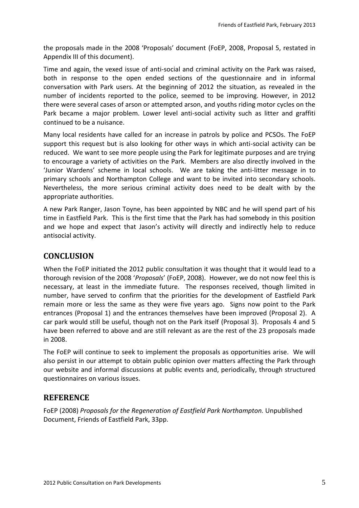the proposals made in the 2008 'Proposals' document (FoEP, 2008, Proposal 5, restated in Appendix III of this document).

Time and again, the vexed issue of anti-social and criminal activity on the Park was raised, both in response to the open ended sections of the questionnaire and in informal conversation with Park users. At the beginning of 2012 the situation, as revealed in the number of incidents reported to the police, seemed to be improving. However, in 2012 there were several cases of arson or attempted arson, and youths riding motor cycles on the Park became a major problem. Lower level anti-social activity such as litter and graffiti continued to be a nuisance.

Many local residents have called for an increase in patrols by police and PCSOs. The FoEP support this request but is also looking for other ways in which anti-social activity can be reduced. We want to see more people using the Park for legitimate purposes and are trying to encourage a variety of activities on the Park. Members are also directly involved in the 'Junior Wardens' scheme in local schools. We are taking the anti-litter message in to primary schools and Northampton College and want to be invited into secondary schools. Nevertheless, the more serious criminal activity does need to be dealt with by the appropriate authorities.

A new Park Ranger, Jason Toyne, has been appointed by NBC and he will spend part of his time in Eastfield Park. This is the first time that the Park has had somebody in this position and we hope and expect that Jason's activity will directly and indirectly help to reduce antisocial activity.

#### **CONCLUSION**

When the FoEP initiated the 2012 public consultation it was thought that it would lead to a thorough revision of the 2008 '*Proposals*' (FoEP, 2008). However, we do not now feel this is necessary, at least in the immediate future. The responses received, though limited in number, have served to confirm that the priorities for the development of Eastfield Park remain more or less the same as they were five years ago. Signs now point to the Park entrances (Proposal 1) and the entrances themselves have been improved (Proposal 2). A car park would still be useful, though not on the Park itself (Proposal 3). Proposals 4 and 5 have been referred to above and are still relevant as are the rest of the 23 proposals made in 2008.

The FoEP will continue to seek to implement the proposals as opportunities arise. We will also persist in our attempt to obtain public opinion over matters affecting the Park through our website and informal discussions at public events and, periodically, through structured questionnaires on various issues.

#### **REFERENCE**

FoEP (2008) *Proposals for the Regeneration of Eastfield Park Northampton.* Unpublished Document, Friends of Eastfield Park, 33pp.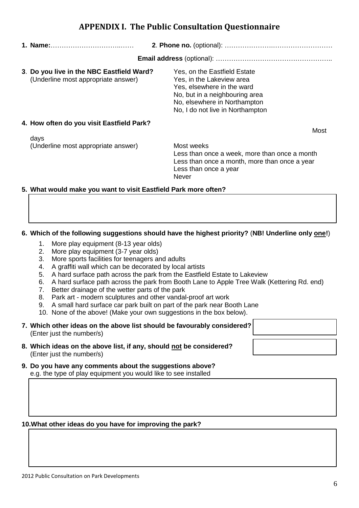Less than once a week, more than once a month Less than once a month, more than once a year Less than once a year Never

# **5. What would make you want to visit Eastfield Park more often?**

#### **6. Which of the following suggestions should have the highest priority?** (**NB! Underline only one!**)

- 1. More play equipment (8-13 year olds)
- 2. More play equipment (3-7 year olds)
- 3. More sports facilities for teenagers and adults
- 4. A graffiti wall which can be decorated by local artists
- 5. A hard surface path across the park from the Eastfield Estate to Lakeview
- 6. A hard surface path across the park from Booth Lane to Apple Tree Walk (Kettering Rd. end)
- 7. Better drainage of the wetter parts of the park
- 8. Park art modern sculptures and other vandal-proof art work
- 9. A small hard surface car park built on part of the park near Booth Lane
- 10. None of the above! (Make your own suggestions in the box below).
- **7. Which other ideas on the above list should be favourably considered?** (Enter just the number/s)
- **8. Which ideas on the above list, if any, should not be considered?** (Enter just the number/s)
- **9. Do you have any comments about the suggestions above?** e.g. the type of play equipment you would like to see installed

#### **10.What other ideas do you have for improving the park?**

#### **APPENDIX I. The Public Consultation Questionnaire**

| 1. Name:                                                                         |                                                                                                                                                                                               |
|----------------------------------------------------------------------------------|-----------------------------------------------------------------------------------------------------------------------------------------------------------------------------------------------|
|                                                                                  |                                                                                                                                                                                               |
| 3. Do you live in the NBC Eastfield Ward?<br>(Underline most appropriate answer) | Yes, on the Eastfield Estate<br>Yes, in the Lakeview area<br>Yes, elsewhere in the ward<br>No, but in a neighbouring area<br>No, elsewhere in Northampton<br>No, I do not live in Northampton |
| 4. How often do you visit Eastfield Park?<br>days                                | Most                                                                                                                                                                                          |
| (Underline most appropriate answer)                                              | Most weeks<br>Less than once a week, more than once a month<br>Less than once a month, more than once a year<br>Less than once a year                                                         |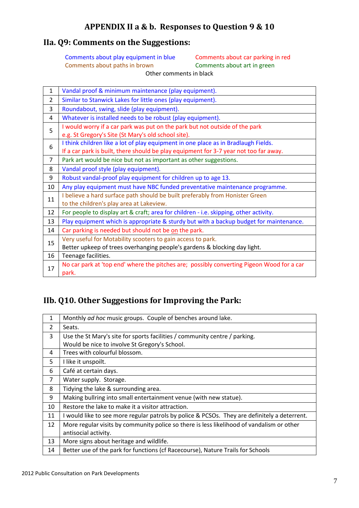### **APPENDIX II a & b. Responses to Question 9 & 10**

### **IIa. Q9: Comments on the Suggestions:**

Comments about play equipment in blue Comments about car parking in red Comments about paths in brown Comments about art in green Other comments in black

1 Vandal proof & minimum maintenance (play equipment). 2 Similar to Stanwick Lakes for little ones (play equipment). 3 Roundabout, swing, slide (play equipment). 4 Whatever is installed needs to be robust (play equipment). 5 I would worry if a car park was put on the park but not outside of the park e.g. St Gregory's Site (St Mary's old school site). 6 I think children like a lot of play equipment in one place as in Bradlaugh Fields. If a car park is built, there should be play equipment for 3-7 year not too far away. 7  $\vert$  Park art would be nice but not as important as other suggestions. 8 Vandal proof style (play equipment). 9 | Robust vandal-proof play equipment for children up to age 13. 10 Any play equipment must have NBC funded preventative maintenance programme. 11 | I believe a hard surface path should be built preferably from Honister Green to the children's play area at Lakeview. 12 For people to display art & craft; area for children - i.e. skipping, other activity. 13 Play equipment which is appropriate & sturdy but with a backup budget for maintenance. 14 Car parking is needed but should not be on the park. 15 Very useful for Motability scooters to gain access to park. Better upkeep of trees overhanging people's gardens & blocking day light. 16 Teenage facilities. 17 No car park at 'top end' where the pitches are; possibly converting Pigeon Wood for a car park.

# **IIb. Q10. Other Suggestions for Improving the Park:**

| 1              | Monthly ad hoc music groups. Couple of benches around lake.                                  |
|----------------|----------------------------------------------------------------------------------------------|
| 2              | Seats.                                                                                       |
| 3              | Use the St Mary's site for sports facilities / community centre / parking.                   |
|                | Would be nice to involve St Gregory's School.                                                |
| 4              | Trees with colourful blossom.                                                                |
| 5              | I like it unspoilt.                                                                          |
| 6              | Café at certain days.                                                                        |
| $\overline{7}$ | Water supply. Storage.                                                                       |
| 8              | Tidying the lake & surrounding area.                                                         |
| 9              | Making bullring into small entertainment venue (with new statue).                            |
| 10             | Restore the lake to make it a visitor attraction.                                            |
| 11             | I would like to see more regular patrols by police & PCSOs. They are definitely a deterrent. |
| 12             | More regular visits by community police so there is less likelihood of vandalism or other    |
|                | antisocial activity.                                                                         |
| 13             | More signs about heritage and wildlife.                                                      |
| 14             | Better use of the park for functions (cf Racecourse), Nature Trails for Schools              |